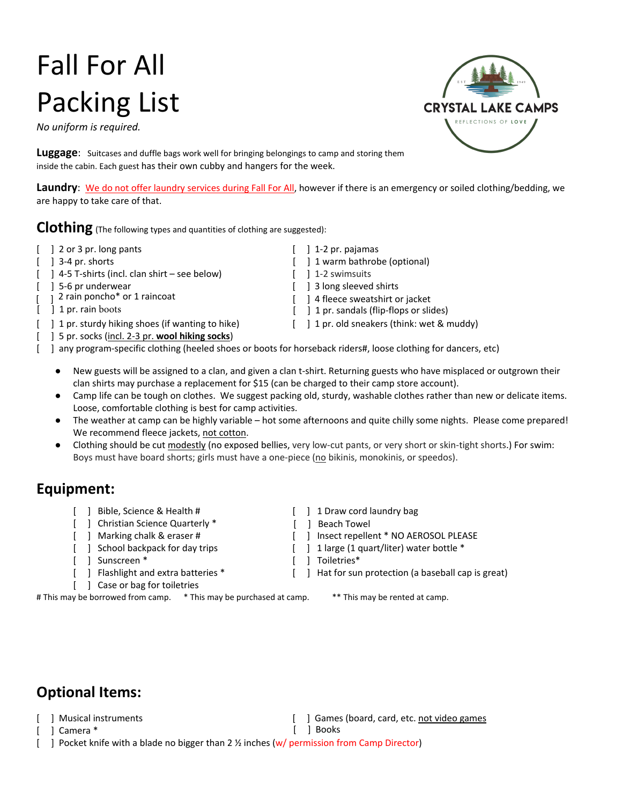## Fall For All Packing List

*No uniform is required.* 



**Luggage**: Suitcases and duffle bags work well for bringing belongings to camp and storing them inside the cabin. Each guest has their own cubby and hangers for the week.

**Laundry**: We do not offer laundry services during Fall For All, however if there is an emergency or soiled clothing/bedding, we are happy to take care of that.

**Clothing** (The following types and quantities of clothing are suggested):

- $\begin{bmatrix} 1 & 2 & or 3 & pr. \end{bmatrix}$  left box  $\begin{bmatrix} 1 & 1 & -2 & pr. \end{bmatrix}$  pajamas
	-
- [ ] 4-5 T-shirts (incl. clan shirt see below) [ ] 1-2 swimsuits
	-
- 2 rain poncho\* or 1 raincoat
- [ ] 1 pr. rain boots
- [ ] 1 pr. sturdy hiking shoes (if wanting to hike) [ ] 1 pr. old sneakers (think: wet & muddy)
- [ ] 5 pr. socks (incl. 2-3 pr. **wool hiking socks**)

- [ ] 3-4 pr. shorts [ ] 1 warm bathrobe (optional)
	-
- [ ] 5-6 pr underwear [ ] 3 long sleeved shirts
	- [ ] 4 fleece sweatshirt or jacket
	- [ ] 1 pr. sandals (flip-flops or slides)
		-
- [ ] any program-specific clothing (heeled shoes or boots for horseback riders#, loose clothing for dancers, etc)
	- New guests will be assigned to a clan, and given a clan t-shirt. Returning guests who have misplaced or outgrown their clan shirts may purchase a replacement for \$15 (can be charged to their camp store account).
	- Camp life can be tough on clothes. We suggest packing old, sturdy, washable clothes rather than new or delicate items. Loose, comfortable clothing is best for camp activities.
	- The weather at camp can be highly variable hot some afternoons and quite chilly some nights. Please come prepared! We recommend fleece jackets, not cotton.
	- Clothing should be cut modestly (no exposed bellies, very low-cut pants, or very short or skin-tight shorts.) For swim: Boys must have board shorts; girls must have a one-piece (no bikinis, monokinis, or speedos).

## **Equipment:**

- [ ] Bible, Science & Health # [ ] 1 Draw cord laundry bag
- [ ] Christian Science Quarterly \* [ ] Beach Towel
- 
- 
- [ ] Sunscreen \* [ ] Toiletries \*
- 
- [ ] Case or bag for toiletries

# This may be borrowed from camp. \* This may be purchased at camp. \*\* This may be rented at camp.

- 
- 
- [ ] Marking chalk & eraser # [ ] Insect repellent \* NO AEROSOL PLEASE
- [ ] School backpack for day trips [ ] 1 large (1 quart/liter) water bottle \*
	-
- [ ] Flashlight and extra batteries \* [ ] Hat for sun protection (a baseball cap is great)

## **Optional Items:**

- [ ] Musical instruments [ ] Games (board, card, etc. not video games
- [ ] Camera \* [ ] Books

[ ] Pocket knife with a blade no bigger than 2 % inches (w/ permission from Camp Director)